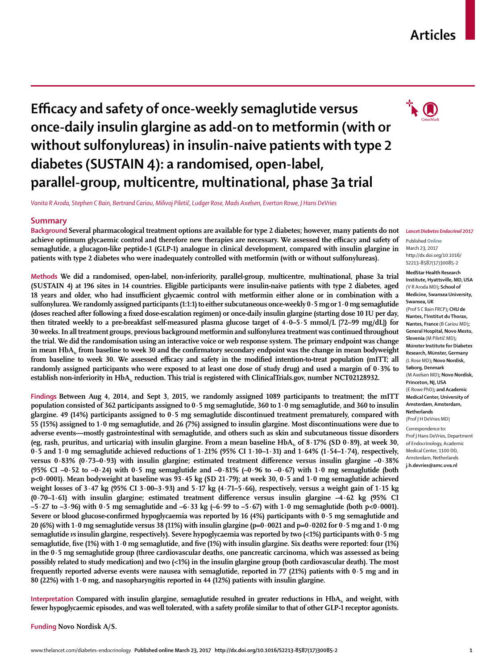## **Articles**

# **Efficacy and safety of once-weekly semaglutide versus once-daily insulin glargine as add-on to metformin (with or without sulfonylureas) in insulin-naive patients with type 2 diabetes (SUSTAIN 4): a randomised, open-label, parallel-group, multicentre, multinational, phase 3a trial**

*Vanita R Aroda, Stephen C Bain, Bertrand Cariou, Milivoj Piletič, Ludger Rose, Mads Axelsen, Everton Rowe, J Hans DeVries*

### **Summary**

**Background Several pharmacological treatment options are available for type 2 diabetes; however, many patients do not achieve optimum glycaemic control and therefore new therapies are necessary. We assessed the efficacy and safety of semaglutide, a glucagon-like peptide-1 (GLP-1) analogue in clinical development, compared with insulin glargine in patients with type 2 diabetes who were inadequately controlled with metformin (with or without sulfonylureas).**

**Methods We did a randomised, open-label, non-inferiority, parallel-group, multicentre, multinational, phase 3a trial (SUSTAIN 4) at 196 sites in 14 countries. Eligible participants were insulin-naive patients with type 2 diabetes, aged 18 years and older, who had insufficient glycaemic control with metformin either alone or in combination with a sulfonylurea. We randomly assigned participants (1:1:1) to either subcutaneous once-weekly 0·5 mg or 1·0 mg semaglutide (doses reached after following a fixed dose-escalation regimen) or once-daily insulin glargine (starting dose 10 IU per day, then titrated weekly to a pre-breakfast self-measured plasma glucose target of 4·0–5·5 mmol/L [72–99 mg/dL]) for 30 weeks. In all treatment groups, previous background metformin and sulfonylurea treatment was continued throughout the trial. We did the randomisation using an interactive voice or web response system. The primary endpoint was change**  in mean HbA<sub>1</sub>, from baseline to week 30 and the confirmatory secondary endpoint was the change in mean bodyweight **from baseline to week 30. We assessed efficacy and safety in the modified intention-to-treat population (mITT; all randomly assigned participants who were exposed to at least one dose of study drug) and used a margin of 0·3% to**  establish non-inferiority in HbA<sub>1c</sub> reduction. This trial is registered with ClinicalTrials.gov, number NCT02128932.

**Findings Between Aug 4, 2014, and Sept 3, 2015, we randomly assigned 1089 participants to treatment; the mITT population consisted of 362 participants assigned to 0·5 mg semaglutide, 360 to 1·0 mg semaglutide, and 360 to insulin glargine. 49 (14%) participants assigned to 0·5 mg semaglutide discontinued treatment prematurely, compared with 55 (15%) assigned to 1·0 mg semaglutide, and 26 (7%) assigned to insulin glargine. Most discontinuations were due to adverse events—mostly gastrointestinal with semaglutide, and others such as skin and subcutaneous tissue disorders**  (eg, rash, pruritus, and urticaria) with insulin glargine. From a mean baseline HbA<sub>1c</sub> of  $8.17\%$  (SD 0 $.89$ ), at week 30, **0·5 and 1·0 mg semaglutide achieved reductions of 1·21% (95% CI 1·10–1·31) and 1·64% (1·54–1·74), respectively, versus 0·83% (0·73–0·93) with insulin glargine; estimated treatment difference versus insulin glargine –0·38% (95% CI –0·52 to –0·24) with 0·5 mg semaglutide and –0·81% (–0·96 to –0·67) with 1·0 mg semaglutide (both p<0·0001). Mean bodyweight at baseline was 93·45 kg (SD 21·79); at week 30, 0·5 and 1·0 mg semaglutide achieved weight losses of 3·47 kg (95% CI 3·00–3·93) and 5·17 kg (4·71–5·66), respectively, versus a weight gain of 1·15 kg (0·70–1·61) with insulin glargine; estimated treatment difference versus insulin glargine –4·62 kg (95% CI –5·27 to –3·96) with 0·5 mg semaglutide and –6·33 kg (–6·99 to –5·67) with 1·0 mg semaglutide (both p<0·0001). Severe or blood glucose-confirmed hypoglycaemia was reported by 16 (4%) participants with 0·5 mg semaglutide and 20 (6%) with 1·0 mg semaglutide versus 38 (11%) with insulin glargine (p=0·0021 and p=0·0202 for 0·5 mg and 1·0 mg semaglutide** *vs* **insulin glargine, respectively). Severe hypoglycaemia was reported by two (<1%) participants with 0·5 mg semaglutide, five (1%) with 1·0 mg semaglutide, and five (1%) with insulin glargine. Six deaths were reported: four (1%) in the 0·5 mg semaglutide group (three cardiovascular deaths, one pancreatic carcinoma, which was assessed as being possibly related to study medication) and two (<1%) in the insulin glargine group (both cardiovascular death). The most frequently reported adverse events were nausea with semaglutide, reported in 77 (21%) patients with 0·5 mg and in 80 (22%) with 1·0 mg, and nasopharyngitis reported in 44 (12%) patients with insulin glargine.**

Interpretation Compared with insulin glargine, semaglutide resulted in greater reductions in HbA<sub>1c</sub> and weight, with **fewer hypoglycaemic episodes, and was well tolerated, with a safety profile similar to that of other GLP-1 receptor agonists.**

**Funding Novo Nordisk A/S.**

#### *Lancet Diabetes Endocrinol* **2017**

Published **Online** March 23, 2017 http://dx.doi.org/10.1016/ S2213-8587(17)30085-2

**MedStar Health Research** 

**Institute, Hyattsville, MD, USA**  (V R Aroda MD)**; School of Medicine, Swansea University, Swansea, UK**  (Prof S C Bain FRCP)**; CHU de Nantes, l'Institut du Thorax, Nantes, France** (B Cariou MD)**; General Hospital, Novo Mesto, Slovenia** (M Piletič MD)**; Münster Institute for Diabetes Research, Münster, Germany**  (L Rose MD)**; Novo Nordisk, Søborg, Denmark**  (M Axelsen MD)**; Novo Nordisk, Princeton, NJ, USA**  (E Rowe PhD)**; and Academic Medical Center, University of Amsterdam, Amsterdam, Netherlands** 

(Prof J H DeVries MD)

Correspondence to: Prof J Hans DeVries, Department of Endocrinology, Academic Medical Center, 1100 DD, Amsterdam, Netherlands **j.h.devries@amc.uva.nl**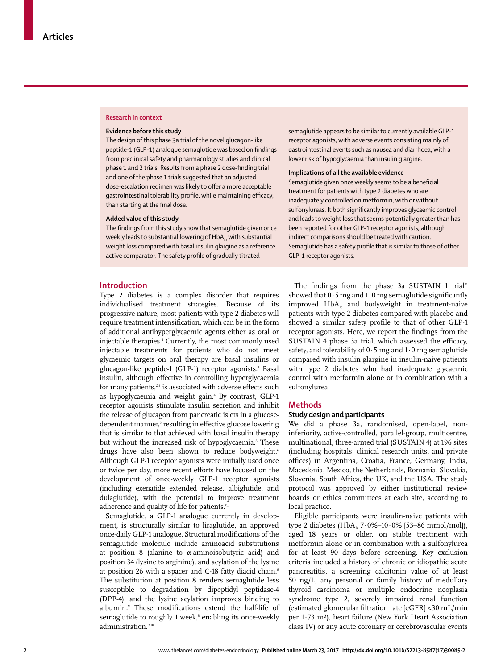#### **Research in context**

#### **Evidence before this study**

The design of this phase 3a trial of the novel glucagon-like peptide-1 (GLP-1) analogue semaglutide was based on findings from preclinical safety and pharmacology studies and clinical phase 1 and 2 trials. Results from a phase 2 dose-finding trial and one of the phase 1 trials suggested that an adjusted dose-escalation regimen was likely to offer a more acceptable gastrointestinal tolerability profile, while maintaining efficacy, than starting at the final dose.

## **Added value of this study**

The findings from this study show that semaglutide given once weekly leads to substantial lowering of  $HbA_{1c}$  with substantial weight loss compared with basal insulin glargine as a reference active comparator. The safety profile of gradually titrated

#### **Introduction**

Type 2 diabetes is a complex disorder that requires individualised treatment strategies. Because of its progressive nature, most patients with type 2 diabetes will require treatment intensification, which can be in the form of additional antihyperglycaemic agents either as oral or injectable therapies.1 Currently, the most commonly used injectable treatments for patients who do not meet glycaemic targets on oral therapy are basal insulins or glucagon-like peptide-1 (GLP-1) receptor agonists.<sup>1</sup> Basal insulin, although effective in controlling hyperglycaemia for many patients, $2,3$  is associated with adverse effects such as hypoglycaemia and weight gain.<sup>4</sup> By contrast, GLP-1 receptor agonists stimulate insulin secretion and inhibit the release of glucagon from pancreatic islets in a glucosedependent manner,<sup>5</sup> resulting in effective glucose lowering that is similar to that achieved with basal insulin therapy but without the increased risk of hypoglycaemia.<sup>6</sup> These drugs have also been shown to reduce bodyweight.<sup>6</sup> Although GLP-1 receptor agonists were initially used once or twice per day, more recent efforts have focused on the development of once-weekly GLP-1 receptor agonists (including exenatide extended release, albiglutide, and dulaglutide), with the potential to improve treatment adherence and quality of life for patients.<sup>6,7</sup>

Semaglutide, a GLP-1 analogue currently in development, is structurally similar to liraglutide, an approved once-daily GLP-1 analogue. Structural modifications of the semaglutide molecule include aminoacid substitutions at position 8 (alanine to α-aminoisobutyric acid) and position 34 (lysine to arginine), and acylation of the lysine at position 26 with a spacer and C-18 fatty diacid chain.<sup>8</sup> The substitution at position 8 renders semaglutide less susceptible to degradation by dipeptidyl peptidase-4 (DPP-4), and the lysine acylation improves binding to albumin.8 These modifications extend the half-life of semaglutide to roughly 1 week,<sup>8</sup> enabling its once-weekly administration.<sup>9,10</sup>

semaglutide appears to be similar to currently available GLP-1 receptor agonists, with adverse events consisting mainly of gastrointestinal events such as nausea and diarrhoea, with a lower risk of hypoglycaemia than insulin glargine.

#### **Implications of all the available evidence**

Semaglutide given once weekly seems to be a beneficial treatment for patients with type 2 diabetes who are inadequately controlled on metformin, with or without sulfonylureas. It both significantly improves glycaemic control and leads to weight loss that seems potentially greater than has been reported for other GLP-1 receptor agonists, although indirect comparisons should be treated with caution. Semaglutide has a safety profile that is similar to those of other GLP-1 receptor agonists.

The findings from the phase 3a SUSTAIN 1 trial<sup>11</sup> showed that  $0.5$  mg and  $1.0$  mg semaglutide significantly improved HbA<sub>1c</sub> and bodyweight in treatment-naive patients with type 2 diabetes compared with placebo and showed a similar safety profile to that of other GLP-1 receptor agonists. Here, we report the findings from the SUSTAIN 4 phase 3a trial, which assessed the efficacy, safety, and tolerability of  $0.5$  mg and  $1.0$  mg semaglutide compared with insulin glargine in insulin-naive patients with type 2 diabetes who had inadequate glycaemic control with metformin alone or in combination with a sulfonylurea.

## **Methods**

## **Study design and participants**

We did a phase 3a, randomised, open-label, noninferiority, active-controlled, parallel-group, multicentre, multinational, three-armed trial (SUSTAIN 4) at 196 sites (including hospitals, clinical research units, and private offices) in Argentina, Croatia, France, Germany, India, Macedonia, Mexico, the Netherlands, Romania, Slovakia, Slovenia, South Africa, the UK, and the USA. The study protocol was approved by either institutional review boards or ethics committees at each site, according to local practice.

Eligible participants were insulin-naive patients with type 2 diabetes (HbA<sub>1c</sub> 7·0%–10·0% [53–86 mmol/mol]), aged 18 years or older, on stable treatment with metformin alone or in combination with a sulfonylurea for at least 90 days before screening. Key exclusion criteria included a history of chronic or idiopathic acute pancreatitis, a screening calcitonin value of at least 50 ng/L, any personal or family history of medullary thyroid carcinoma or multiple endocrine neoplasia syndrome type 2, severely impaired renal function (estimated glomerular filtration rate [eGFR] <30 mL/min per 1·73 m²), heart failure (New York Heart Association class IV) or any acute coronary or cerebrovascular events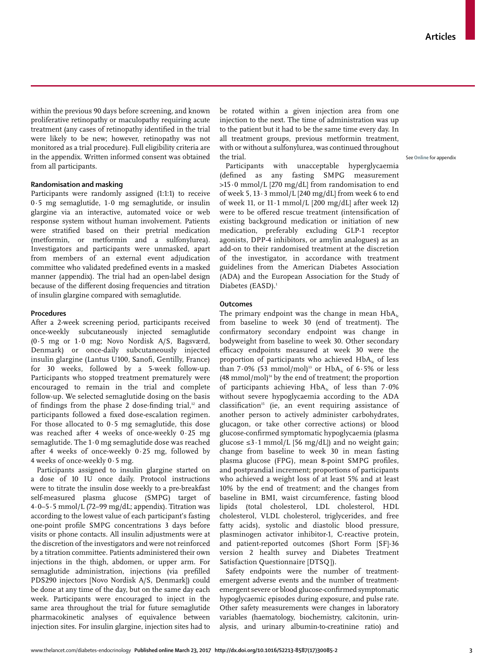within the previous 90 days before screening, and known proliferative retinopathy or maculopathy requiring acute treatment (any cases of retinopathy identified in the trial were likely to be new; however, retinopathy was not monitored as a trial procedure). Full eligibility criteria are in the appendix. Written informed consent was obtained from all participants.

## **Randomisation and masking**

Participants were randomly assigned (1:1:1) to receive 0·5 mg semaglutide, 1·0 mg semaglutide, or insulin glargine via an interactive, automated voice or web response system without human involvement. Patients were stratified based on their pretrial medication (metformin, or metformin and a sulfonylurea). Investigators and participants were unmasked, apart from members of an external event adjudication committee who validated predefined events in a masked manner (appendix). The trial had an open-label design because of the different dosing frequencies and titration of insulin glargine compared with semaglutide.

## **Procedures**

After a 2-week screening period, participants received once-weekly subcutaneously injected semaglutide (0·5 mg or 1·0 mg; Novo Nordisk A/S, Bagsværd, Denmark) or once-daily subcutaneously injected insulin glargine (Lantus U100, Sanofi, Gentilly, France) for 30 weeks, followed by a 5-week follow-up. Participants who stopped treatment prematurely were encouraged to remain in the trial and complete follow-up. We selected semaglutide dosing on the basis of findings from the phase 2 dose-finding trial, $12$  and participants followed a fixed dose-escalation regimen. For those allocated to  $0.5$  mg semaglutide, this dose was reached after 4 weeks of once-weekly 0·25 mg semaglutide. The 1·0 mg semaglutide dose was reached after 4 weeks of once-weekly 0·25 mg, followed by 4 weeks of once-weekly 0·5 mg.

Participants assigned to insulin glargine started on a dose of 10 IU once daily. Protocol instructions were to titrate the insulin dose weekly to a pre-breakfast self-measured plasma glucose (SMPG) target of  $4.0 - 5.5$  mmol/L (72–99 mg/dL; appendix). Titration was according to the lowest value of each participant's fasting one-point profile SMPG concentrations 3 days before visits or phone contacts. All insulin adjustments were at the discretion of the investigators and were not reinforced by a titration committee. Patients administered their own injections in the thigh, abdomen, or upper arm. For semaglutide administration, injections (via prefilled PDS290 injectors [Novo Nordisk A/S, Denmark]) could be done at any time of the day, but on the same day each week. Participants were encouraged to inject in the same area throughout the trial for future semaglutide pharmacokinetic analyses of equivalence between injection sites. For insulin glargine, injection sites had to be rotated within a given injection area from one injection to the next. The time of administration was up to the patient but it had to be the same time every day. In all treatment groups, previous metformin treatment, with or without a sulfonylurea, was continued throughout the trial.

Participants with unacceptable hyperglycaemia (defined as any fasting SMPG measurement >15·0 mmol/L [270 mg/dL] from randomisation to end of week 5,  $13 \cdot 3$  mmol/L [240 mg/dL] from week 6 to end of week 11, or  $11 \cdot 1$  mmol/L  $[200 \text{ mg/dL}]$  after week 12) were to be offered rescue treatment (intensification of existing background medication or initiation of new medication, preferably excluding GLP-1 receptor agonists, DPP-4 inhibitors, or amylin analogues) as an add-on to their randomised treatment at the discretion of the investigator, in accordance with treatment guidelines from the American Diabetes Association (ADA) and the European Association for the Study of Diabetes (EASD).<sup>1</sup>

## **Outcomes**

The primary endpoint was the change in mean  $HbA_{1c}$ from baseline to week 30 (end of treatment). The confirmatory secondary endpoint was change in bodyweight from baseline to week 30. Other secondary efficacy endpoints measured at week 30 were the proportion of participants who achieved  $HbA<sub>1c</sub>$  of less than  $7.0\%$  (53 mmol/mol)<sup>13</sup> or HbA<sub>1c</sub> of 6.5% or less  $(48 \text{ mmol/mol})^{14}$  by the end of treatment; the proportion of participants achieving  $HbA<sub>1c</sub>$  of less than 7.0% without severe hypoglycaemia according to the ADA classification<sup>15</sup> (ie, an event requiring assistance of another person to actively administer carbohydrates, glucagon, or take other corrective actions) or blood glucose-confirmed symptomatic hypoglycaemia (plasma glucose ≤3·1 mmol/L [56 mg/dL]) and no weight gain; change from baseline to week 30 in mean fasting plasma glucose (FPG), mean 8-point SMPG profiles, and postprandial increment; proportions of participants who achieved a weight loss of at least 5% and at least 10% by the end of treatment; and the changes from baseline in BMI, waist circumference, fasting blood lipids (total cholesterol, LDL cholesterol, HDL cholesterol, VLDL cholesterol, triglycerides, and free fatty acids), systolic and diastolic blood pressure, plasminogen activator inhibitor-1, C-reactive protein, and patient-reported outcomes (Short Form [SF]-36 version 2 health survey and Diabetes Treatment Satisfaction Questionnaire [DTSQ]).

Safety endpoints were the number of treatmentemergent adverse events and the number of treatmentemergent severe or blood glucose-confirmed symptomatic hypoglycaemic episodes during exposure, and pulse rate. Other safety measurements were changes in laboratory variables (haematology, biochemistry, calcitonin, urinalysis, and urinary albumin-to-creatinine ratio) and See **Online** for appendix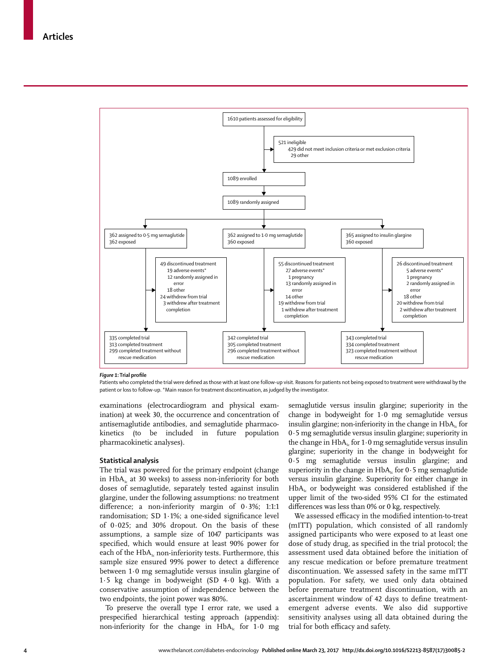

#### *Figure 1***: Trial profile**

Patients who completed the trial were defined as those with at least one follow-up visit. Reasons for patients not being exposed to treatment were withdrawal by the patient or loss to follow-up. \*Main reason for treatment discontinuation, as judged by the investigator.

examinations (electrocardiogram and physical examination) at week 30, the occurrence and concentration of antisemaglutide antibodies, and semaglutide pharmacokinetics (to be included in future population pharmacokinetic analyses).

#### **Statistical analysis**

The trial was powered for the primary endpoint (change in HbA<sub>1c</sub> at 30 weeks) to assess non-inferiority for both doses of semaglutide, separately tested against insulin glargine, under the following assumptions: no treatment difference; a non-inferiority margin of 0·3%; 1:1:1 randomisation; SD 1·1%; a one-sided significance level of 0·025; and 30% dropout. On the basis of these assumptions, a sample size of 1047 participants was specified, which would ensure at least 90% power for each of the  $HbA<sub>k</sub>$  non-inferiority tests. Furthermore, this sample size ensured 99% power to detect a difference between 1·0 mg semaglutide versus insulin glargine of 1·5 kg change in bodyweight (SD 4·0 kg). With a conservative assumption of independence between the two endpoints, the joint power was 80%*.*

To preserve the overall type I error rate, we used a prespecified hierarchical testing approach (appendix): non-inferiority for the change in  $HbA<sub>i</sub>$  for 1.0 mg semaglutide versus insulin glargine; superiority in the change in bodyweight for 1·0 mg semaglutide versus insulin glargine; non-inferiority in the change in  $HbA<sub>1</sub>$  for 0·5 mg semaglutide versus insulin glargine; superiority in the change in  $HbA_{1c}$  for 1.0 mg semaglutide versus insulin glargine; superiority in the change in bodyweight for 0·5 mg semaglutide versus insulin glargine; and superiority in the change in  $HbA_k$  for 0.5 mg semaglutide versus insulin glargine. Superiority for either change in  $HbA<sub>i</sub>$  or bodyweight was considered established if the upper limit of the two-sided 95% CI for the estimated differences was less than 0% or 0 kg, respectively.

We assessed efficacy in the modified intention-to-treat (mITT) population, which consisted of all randomly assigned participants who were exposed to at least one dose of study drug, as specified in the trial protocol; the assessment used data obtained before the initiation of any rescue medication or before premature treatment discontinuation. We assessed safety in the same mITT population. For safety, we used only data obtained before premature treatment discontinuation, with an ascertainment window of 42 days to define treatmentemergent adverse events. We also did supportive sensitivity analyses using all data obtained during the trial for both efficacy and safety.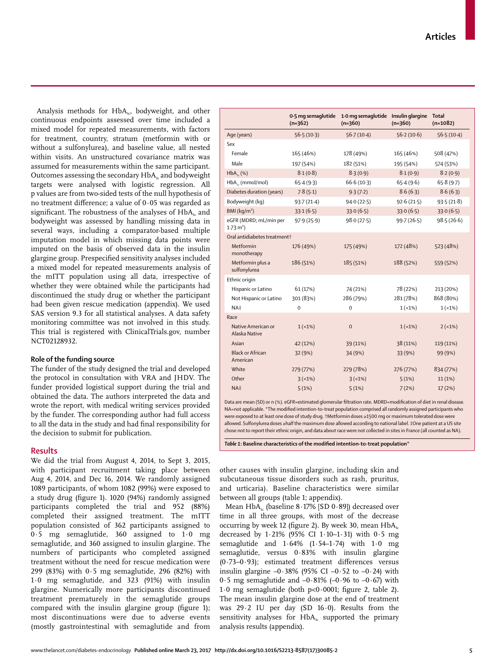Analysis methods for  $HbA_{1c}$ , bodyweight, and other continuous endpoints assessed over time included a mixed model for repeated measurements, with factors for treatment, country, stratum (metformin with or without a sulfonylurea), and baseline value, all nested within visits. An unstructured covariance matrix was assumed for measurements within the same participant. Outcomes assessing the secondary  $HbA_1$  and bodyweight targets were analysed with logistic regression. All p values are from two-sided tests of the null hypothesis of no treatment difference; a value of 0·05 was regarded as significant. The robustness of the analyses of HbA<sub>1</sub> and bodyweight was assessed by handling missing data in several ways, including a comparator-based multiple imputation model in which missing data points were imputed on the basis of observed data in the insulin glargine group. Prespecified sensitivity analyses included a mixed model for repeated measurements analysis of the mITT population using all data, irrespective of whether they were obtained while the participants had discontinued the study drug or whether the participant had been given rescue medication (appendix). We used SAS version 9.3 for all statistical analyses. A data safety monitoring committee was not involved in this study. This trial is registered with ClinicalTrials.gov, number NCT02128932.

#### **Role of the funding source**

The funder of the study designed the trial and developed the protocol in consultation with VRA and JHDV. The funder provided logistical support during the trial and obtained the data. The authors interpreted the data and wrote the report, with medical writing services provided by the funder. The corresponding author had full access to all the data in the study and had final responsibility for the decision to submit for publication.

## **Results**

We did the trial from August 4, 2014, to Sept 3, 2015, with participant recruitment taking place between Aug 4, 2014, and Dec 16, 2014. We randomly assigned 1089 participants, of whom 1082 (99%) were exposed to a study drug (figure 1). 1020 (94%) randomly assigned participants completed the trial and 952 (88%) completed their assigned treatment. The mITT population consisted of 362 participants assigned to 0·5 mg semaglutide, 360 assigned to 1·0 mg semaglutide, and 360 assigned to insulin glargine. The numbers of participants who completed assigned treatment without the need for rescue medication were 299 (83%) with 0·5 mg semaglutide, 296 (82%) with 1·0 mg semaglutide, and 323 (91%) with insulin glargine. Numerically more participants discontinued treatment prematurely in the semaglutide groups compared with the insulin glargine group (figure 1); most discontinuations were due to adverse events (mostly gastrointestinal with semaglutide and from

|                                                | 0.5 mg semaglutide<br>$(n=362)$ | 1.0 mg semaglutide Insulin glargine<br>$(n=360)$ | $(n=360)$  | <b>Total</b><br>$(n=1082)$ |  |  |  |  |  |
|------------------------------------------------|---------------------------------|--------------------------------------------------|------------|----------------------------|--|--|--|--|--|
| Age (years)                                    | 56.5(10.3)                      | 56.7(10.4)                                       | 56.2(10.6) | 56.5(10.4)                 |  |  |  |  |  |
| Sex                                            |                                 |                                                  |            |                            |  |  |  |  |  |
| Female                                         | 165 (46%)                       | 178 (49%)                                        | 165 (46%)  | 508 (47%)                  |  |  |  |  |  |
| Male                                           | 197 (54%)                       | 182 (51%)                                        | 195 (54%)  | 574 (53%)                  |  |  |  |  |  |
| $HbA_{1c}$ (%)                                 | 8.1(0.8)                        | 8.3(0.9)                                         | 8.1(0.9)   | 8.2(0.9)                   |  |  |  |  |  |
| $HbA_{\nu}$ (mmol/mol)                         | 65.4(9.3)                       | 66.6(10.3)                                       | 65.4(9.6)  | 65.8(9.7)                  |  |  |  |  |  |
| Diabetes duration (years)                      | 7.8(5.1)                        | 9.3(7.2)                                         | 8.6(6.3)   | 8.6(6.3)                   |  |  |  |  |  |
| Bodyweight (kg)                                | 93.7(21.4)                      | 94.0(22.5)                                       | 92.6(21.5) | 93.5(21.8)                 |  |  |  |  |  |
| BMl (kq/m <sup>2</sup> )                       | 33.1(6.5)                       | 33.0(6.5)                                        | 33.0(6.5)  | 33.0(6.5)                  |  |  |  |  |  |
| eGFR (MDRD; mL/min per<br>$1.73 \text{ m}^2$ ) | 97.9(25.9)                      | 98.0(27.5)                                       | 99.7(26.5) | 98.5(26.6)                 |  |  |  |  |  |
| Oral antidiabetes treatment+                   |                                 |                                                  |            |                            |  |  |  |  |  |
| Metformin<br>monotherapy                       | 176 (49%)                       | 175 (49%)                                        | 172 (48%)  | 523 (48%)                  |  |  |  |  |  |
| Metformin plus a<br>sulfonylurea               | 186 (51%)                       | 185 (51%)                                        | 188 (52%)  | 559 (52%)                  |  |  |  |  |  |
| Ethnic origin                                  |                                 |                                                  |            |                            |  |  |  |  |  |
| Hispanic or Latino                             | 61 (17%)                        | 74 (21%)                                         | 78 (22%)   | 213 (20%)                  |  |  |  |  |  |
| Not Hispanic or Latino                         | 301 (83%)                       | 286 (79%)                                        | 281 (78%)  | 868 (80%)                  |  |  |  |  |  |
| NA‡                                            | $\Omega$                        | $\mathbf 0$                                      | $1(-1%)$   | $1(-1%)$                   |  |  |  |  |  |
| Race                                           |                                 |                                                  |            |                            |  |  |  |  |  |
| Native American or<br>Alaska Native            | $1(-1%)$                        | $\mathbf 0$                                      | $1(-1%)$   | $2(-1%)$                   |  |  |  |  |  |
| Asian                                          | 42 (12%)                        | 39 (11%)                                         | 38 (11%)   | 119 (11%)                  |  |  |  |  |  |
| Black or African<br>American                   | 32 (9%)                         | 34 (9%)                                          | 33 (9%)    | 99 (9%)                    |  |  |  |  |  |
| White                                          | 279 (77%)                       | 279 (78%)                                        | 276 (77%)  | 834 (77%)                  |  |  |  |  |  |
| Other                                          | $3(-1%)$                        | $3 (-1%)$                                        | 5(1%)      | 11(1%)                     |  |  |  |  |  |
| NA‡                                            | 5(1%)                           | 5(1%)                                            | 7(2%)      | 17(2%)                     |  |  |  |  |  |

Data are mean (SD) or n (%). eGFR=estimated glomerular filtration rate. MDRD=modification of diet in renal disease. NA=not applicable. \*The modified intention-to-treat population comprised all randomly assigned participants who were exposed to at least one dose of study drug. †Metformin doses ≥1500 mg or maximum tolerated dose were allowed. Sulfonylurea doses ≥half the maximum dose allowed according to national label. ‡One patient at a US site chose not to report their ethnic origin, and data about race were not collected in sites in France (all counted as NA).

*Table 1***: Baseline characteristics of the modified intention-to-treat population\***

other causes with insulin glargine, including skin and subcutaneous tissue disorders such as rash, pruritus, and urticaria). Baseline characteristics were similar between all groups (table 1; appendix).

Mean  $HbA_{1c}$  (baseline  $8.17\%$  [SD  $0.89$ ]) decreased over time in all three groups, with most of the decrease occurring by week 12 (figure 2). By week 30, mean  $HbA_{1c}$ decreased by 1·21% (95% CI 1·10–1·31) with 0·5 mg semaglutide and 1·64% (1·54–1·74) with 1·0 mg semaglutide, versus 0·83% with insulin glargine (0·73–0·93); estimated treatment differences versus insulin glargine  $-0.38\%$  (95% CI  $-0.52$  to  $-0.24$ ) with 0.5 mg semaglutide and  $-0.81\%$  ( $-0.96$  to  $-0.67$ ) with 1·0 mg semaglutide (both p<0·0001; figure 2, table 2). The mean insulin glargine dose at the end of treatment was 29·2 IU per day (SD 16·0). Results from the sensitivity analyses for  $HbA_i$  supported the primary analysis results (appendix).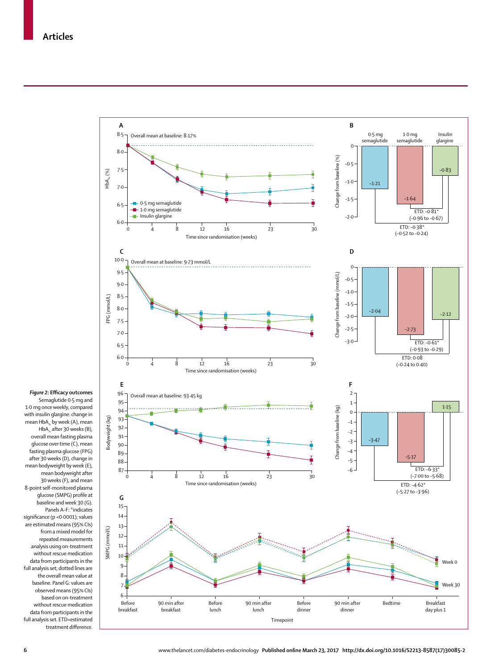

*Figure 2***: Efficacy outcomes** Semaglutide 0·5 mg and 1·0 mg once weekly, compared with insulin glargine: change in mean  $HbA_{1c}$  by week (A), mean  $HbA_{1c}$  after 30 weeks (B), overall mean fasting plasma glucose over time (C), mean fasting plasma glucose (FPG) after 30 weeks (D), change in mean bodyweight by week (E), mean bodyweight after 30 weeks (F), and mean 8-point self-monitored plasma glucose (SMPG) profile at baseline and week 30 (G). Panels A–F: \*indicates significance (p <0·0001); values are estimated means (95% CIs) from a mixed model for repeated measurements analysis using on-treatment without rescue medication data from participants in the full analysis set; dotted lines are the overall mean value at baseline. Panel G: values are observed means (95% CIs) based on on-treatment without rescue medication data from participants in the full analysis set. ETD=estimated treatment difference.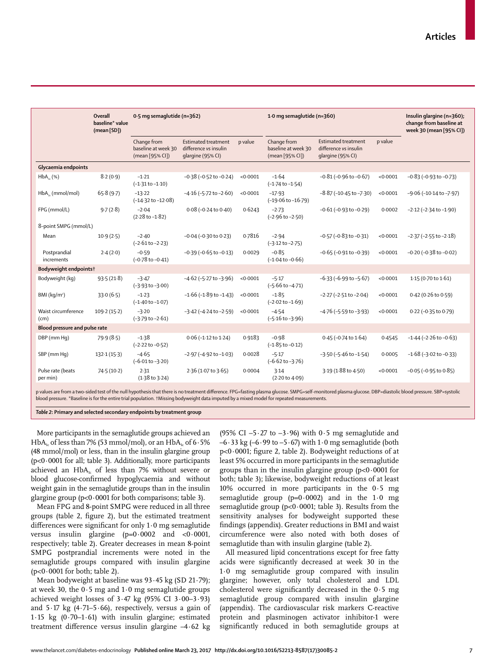|                               | Overall<br>baseline* value<br>(mean [SD]) | 0.5 mg semaglutide (n=362)                            |                                                                          |          | 1.0 mg semaglutide (n=360)                            |                                                                          |          | Insulin glargine (n=360);<br>change from baseline at<br>week 30 (mean [95% CI]) |  |
|-------------------------------|-------------------------------------------|-------------------------------------------------------|--------------------------------------------------------------------------|----------|-------------------------------------------------------|--------------------------------------------------------------------------|----------|---------------------------------------------------------------------------------|--|
|                               |                                           | Change from<br>baseline at week 30<br>(mean [95% CI]) | <b>Estimated treatment</b><br>difference vs insulin<br>glargine (95% CI) | p value  | Change from<br>baseline at week 30<br>(mean [95% CI]) | <b>Estimated treatment</b><br>difference vs insulin<br>glargine (95% CI) | p value  |                                                                                 |  |
| Glycaemia endpoints           |                                           |                                                       |                                                                          |          |                                                       |                                                                          |          |                                                                                 |  |
| HbA <sub>v</sub> (%)          | 8.2(0.9)                                  | $-1.21$<br>$(-1.31 to -1.10)$                         | $-0.38$ ( $-0.52$ to $-0.24$ )                                           | < 0.0001 | $-1.64$<br>$(-1.74 \text{ to } -1.54)$                | $-0.81$ ( $-0.96$ to $-0.67$ )                                           | < 0.0001 | $-0.83$ ( $-0.93$ to $-0.73$ )                                                  |  |
| $HbA_{1c}$ (mmol/mol)         | 65.8(9.7)                                 | $-13.22$<br>$(-14.32 \text{ to } -12.08)$             | $-4.16$ ( $-5.72$ to $-2.60$ )                                           | < 0.0001 | $-17.93$<br>$(-19.06 \text{ to } -16.79)$             | $-8.87$ ( $-10.45$ to $-7.30$ )                                          | < 0.0001 | $-9.06$ ( $-10.14$ to $-7.97$ )                                                 |  |
| FPG (mmol/L)                  | 9.7(2.8)                                  | $-2.04$<br>$(2.28 \text{ to } -1.82)$                 | $0.08 (-0.24 to 0.40)$                                                   | 0.6243   | $-2.73$<br>$(-2.96 \text{ to } -2.50)$                | $-0.61$ ( $-0.93$ to $-0.29$ )                                           | 0.0002   | $-2.12$ ( $-2.34$ to $-1.90$ )                                                  |  |
| 8-point SMPG (mmol/L)         |                                           |                                                       |                                                                          |          |                                                       |                                                                          |          |                                                                                 |  |
| Mean                          | 10.9(2.5)                                 | $-2.40$<br>$(-2.61 to -2.23)$                         | $-0.04$ ( $-0.30$ to 0.23)                                               | 0.7816   | $-2.94$<br>$(-3.12 \text{ to } -2.75)$                | $-0.57$ ( $-0.83$ to $-0.31$ )                                           | < 0.0001 | $-2.37$ ( $-2.55$ to $-2.18$ )                                                  |  |
| Postprandial<br>increments    | 2.4(2.0)                                  | $-0.59$<br>$(-0.78 \text{ to } -0.41)$                | $-0.39$ ( $-0.65$ to $-0.13$ )                                           | 0.0029   | $-0.85$<br>$(-1.04 \text{ to } -0.66)$                | $-0.65$ ( $-0.91$ to $-0.39$ )                                           | < 0.0001 | $-0.20$ ( $-0.38$ to $-0.02$ )                                                  |  |
| Bodyweight endpoints†         |                                           |                                                       |                                                                          |          |                                                       |                                                                          |          |                                                                                 |  |
| Bodyweight (kg)               | 93.5(21.8)                                | $-3.47$<br>$(-3.93 \text{ to } -3.00)$                | $-4.62$ ( $-5.27$ to $-3.96$ )                                           | < 0.0001 | $-5.17$<br>$(-5.66 \text{ to } -4.71)$                | $-6.33$ ( $-6.99$ to $-5.67$ )                                           | < 0.0001 | 1.15 (0.70 to 1.61)                                                             |  |
| BMI ( $kq/m^2$ )              | 33.0(6.5)                                 | $-1.23$<br>$(-1.40 \text{ to } -1.07)$                | $-1.66$ ( $-1.89$ to $-1.43$ )                                           | < 0.0001 | $-1.85$<br>$(-2.02 \text{ to } -1.69)$                | $-2.27$ ( $-2.51$ to $-2.04$ )                                           | < 0.0001 | 0.42 (0.26 to 0.59)                                                             |  |
| Waist circumference<br>(cm)   | 109.2(15.2)                               | $-3.20$<br>$(-3.79 \text{ to } -2.61)$                | $-3.42$ ( $-4.24$ to $-2.59$ )                                           | < 0.0001 | $-4.54$<br>$(-5.16 \text{ to } -3.96)$                | $-4.76$ ( $-5.59$ to $-3.93$ )                                           | < 0.0001 | $0.22$ (-0.35 to 0.79)                                                          |  |
| Blood pressure and pulse rate |                                           |                                                       |                                                                          |          |                                                       |                                                                          |          |                                                                                 |  |
| DBP (mm Hq)                   | 79.9(8.5)                                 | $-1.38$<br>$(-2.22 \text{ to } -0.52)$                | $0.06$ (-1.12 to 1.24)                                                   | 0.9183   | $-0.98$<br>$(-1.85 \text{ to } -0.12)$                | $0.45$ (-0.74 to $1.64$ )                                                | 0.4545   | $-1.44$ ( $-2.26$ to $-0.63$ )                                                  |  |
| SBP (mm Hq)                   | 132.1(15.3)                               | $-4.65$<br>$(-6.01 to -3.20)$                         | $-2.97$ ( $-4.92$ to $-1.03$ )                                           | 0.0028   | $-5.17$<br>$(-6.62 \text{ to } -3.76)$                | $-3.50$ ( $-5.46$ to $-1.54$ )                                           | 0.0005   | $-1.68$ ( $-3.02$ to $-0.33$ )                                                  |  |
| Pulse rate (beats<br>per min) | 74.5 (10.2)                               | 2.31<br>$(1.38$ to $3.24)$                            | 2.36 (1.07 to 3.65)                                                      | 0.0004   | 3.14<br>(2.20 to 4.09)                                | 3.19 (1.88 to 4.50)                                                      | < 0.0001 | $-0.05$ ( $-0.95$ to $0.85$ )                                                   |  |
|                               |                                           |                                                       |                                                                          |          |                                                       |                                                                          |          |                                                                                 |  |

p values are from a two-sided test of the null hypothesis that there is no treatment difference. FPG=fasting plasma glucose. SMPG=self-monitored plasma glucose. DBP=diastolic blood pressure. SBP=systolic blood pressure. \*Baseline is for the entire trial population. †Missing bodyweight data imputed by a mixed model for repeated measurements.

*Table 2***: Primary and selected secondary endpoints by treatment group**

More participants in the semaglutide groups achieved an  $HbA<sub>i</sub>$  of less than 7% (53 mmol/mol), or an  $HbA<sub>i</sub>$  of 6  $\cdot$  5% (48 mmol/mol) or less, than in the insulin glargine group  $(p<0.0001$  for all; table 3). Additionally, more participants achieved an  $HbA_{1c}$  of less than 7% without severe or blood glucose-confirmed hypoglycaemia and without weight gain in the semaglutide groups than in the insulin glargine group (p<0·0001 for both comparisons; table 3).

Mean FPG and 8-point SMPG were reduced in all three groups (table 2, figure 2), but the estimated treatment differences were significant for only 1·0 mg semaglutide versus insulin glargine  $(p=0.0002$  and  $<0.0001$ , respectively; table 2). Greater decreases in mean 8-point SMPG postprandial increments were noted in the semaglutide groups compared with insulin glargine  $(p<0.0001$  for both; table 2).

Mean bodyweight at baseline was 93·45 kg (SD 21·79); at week 30, the 0·5 mg and 1·0 mg semaglutide groups achieved weight losses of  $3.47 \text{ kg}$  (95% CI  $3.00-3.93$ ) and  $5.17$  kg (4.71–5.66), respectively, versus a gain of 1·15 kg (0·70–1·61) with insulin glargine; estimated treatment difference versus insulin glargine –4·62 kg (95% CI  $-5.27$  to  $-3.96$ ) with 0.5 mg semaglutide and  $-6.33$  kg ( $-6.99$  to  $-5.67$ ) with  $1.0$  mg semaglutide (both p<0·0001; figure 2, table 2). Bodyweight reductions of at least 5% occurred in more participants in the semaglutide groups than in the insulin glargine group (p<0·0001 for both; table 3); likewise, bodyweight reductions of at least 10% occurred in more participants in the 0·5 mg semaglutide group  $(p=0.0002)$  and in the 1.0 mg semaglutide group (p<0·0001; table 3). Results from the sensitivity analyses for bodyweight supported these findings (appendix). Greater reductions in BMI and waist circumference were also noted with both doses of semaglutide than with insulin glargine (table 2).

All measured lipid concentrations except for free fatty acids were significantly decreased at week 30 in the 1·0 mg semaglutide group compared with insulin glargine; however, only total cholesterol and LDL cholesterol were significantly decreased in the 0·5 mg semaglutide group compared with insulin glargine (appendix). The cardiovascular risk markers C-reactive protein and plasminogen activator inhibitor-1 were significantly reduced in both semaglutide groups at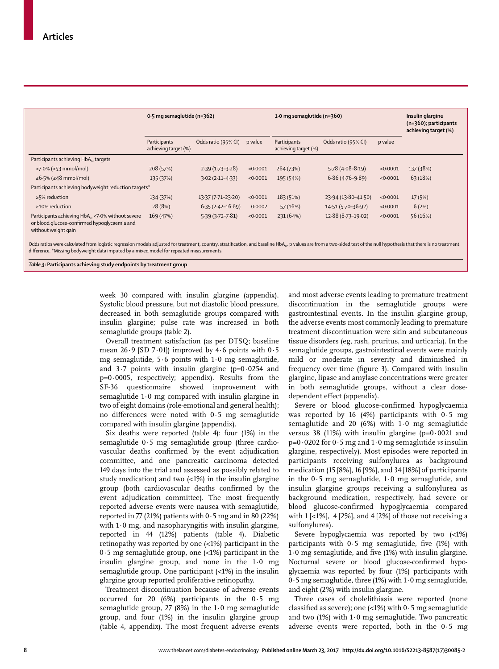|                                                                                                                         | 0.5 mg semaglutide (n=362)           |                      |          | 1.0 mg semaglutide ( $n=360$ )       |                     |          | Insulin glargine<br>$(n=360)$ ; participants<br>achieving target (%) |  |  |
|-------------------------------------------------------------------------------------------------------------------------|--------------------------------------|----------------------|----------|--------------------------------------|---------------------|----------|----------------------------------------------------------------------|--|--|
|                                                                                                                         | Participants<br>achieving target (%) | Odds ratio (95% CI)  | p value  | Participants<br>achieving target (%) | Odds ratio (95% CI) | p value  |                                                                      |  |  |
| Participants achieving HbA <sub>1c</sub> targets                                                                        |                                      |                      |          |                                      |                     |          |                                                                      |  |  |
| $<$ 7 $\cdot$ 0% ( $<$ 53 mmol/mol)                                                                                     | 208 (57%)                            | $2.39(1.73-3.28)$    | < 0.0001 | 264 (73%)                            | $5.78(4.08 - 8.19)$ | < 0.0001 | 137 (38%)                                                            |  |  |
| ≤6.5% (≤48 mmol/mol)                                                                                                    | 135 (37%)                            | $3.02(2.11 - 4.33)$  | < 0.0001 | 195 (54%)                            | $6.86(4.76-9.89)$   | < 0.0001 | 63 (18%)                                                             |  |  |
| Participants achieving bodyweight reduction targets*                                                                    |                                      |                      |          |                                      |                     |          |                                                                      |  |  |
| $\geq$ 5% reduction                                                                                                     | 134 (37%)                            | 13.37 (7.71-23.20)   | < 0.0001 | 183 (51%)                            | 23.94 (13.80-41.50) | < 0.0001 | 17(5%)                                                               |  |  |
| $\geq$ 10% reduction                                                                                                    | 28 (8%)                              | $6.35(2.42 - 16.69)$ | 0.0002   | 57(16%)                              | 14.51 (5.70-36.92)  | < 0.0001 | 6(2%)                                                                |  |  |
| Participants achieving HbA, <7.0% without severe<br>or blood glucose-confirmed hypoglycaemia and<br>without weight gain | 169 (47%)                            | $5.39(3.72 - 7.81)$  | < 0.0001 | 231 (64%)                            | 12.88 (8.73-19.02)  | < 0.0001 | 56 (16%)                                                             |  |  |

Odds ratios were calculated from logistic regression models adjusted for treatment, country, stratification, and baseline HbA<sub>1c</sub>. p values are from a two-sided test of the null hypothesis that there is no treatment difference. \*Missing bodyweight data imputed by a mixed model for repeated measurements.

*Table 3***: Participants achieving study endpoints by treatment group**

week 30 compared with insulin glargine (appendix). Systolic blood pressure, but not diastolic blood pressure, decreased in both semaglutide groups compared with insulin glargine; pulse rate was increased in both semaglutide groups (table 2).

Overall treatment satisfaction (as per DTSQ; baseline mean 26·9 [SD 7·01]) improved by 4·6 points with 0·5 mg semaglutide, 5·6 points with 1·0 mg semaglutide, and  $3.7$  points with insulin glargine (p=0.0254 and p=0·0005, respectively; appendix). Results from the SF-36 questionnaire showed improvement with semaglutide 1·0 mg compared with insulin glargine in two of eight domains (role-emotional and general health); no differences were noted with 0·5 mg semaglutide compared with insulin glargine (appendix).

Six deaths were reported (table 4): four (1%) in the semaglutide 0·5 mg semaglutide group (three cardiovascular deaths confirmed by the event adjudication committee, and one pancreatic carcinoma detected 149 days into the trial and assessed as possibly related to study medication) and two (<1%) in the insulin glargine group (both cardiovascular deaths confirmed by the event adjudication committee). The most frequently reported adverse events were nausea with semaglutide, reported in 77 (21%) patients with  $0.5$  mg and in 80 (22%) with 1·0 mg, and nasopharyngitis with insulin glargine, reported in 44 (12%) patients (table 4). Diabetic retinopathy was reported by one (<1%) participant in the 0·5 mg semaglutide group, one (<1%) participant in the insulin glargine group, and none in the 1·0 mg semaglutide group. One participant (<1%) in the insulin glargine group reported proliferative retinopathy.

Treatment discontinuation because of adverse events occurred for 20 (6%) participants in the 0·5 mg semaglutide group, 27 (8%) in the 1·0 mg semaglutide group, and four (1%) in the insulin glargine group (table 4, appendix). The most frequent adverse events and most adverse events leading to premature treatment discontinuation in the semaglutide groups were gastrointestinal events. In the insulin glargine group, the adverse events most commonly leading to premature treatment discontinuation were skin and subcutaneous tissue disorders (eg, rash, pruritus, and urticaria). In the semaglutide groups, gastrointestinal events were mainly mild or moderate in severity and diminished in frequency over time (figure 3). Compared with insulin glargine, lipase and amylase concentrations were greater in both semaglutide groups, without a clear dosedependent effect (appendix).

Severe or blood glucose-confirmed hypoglycaemia was reported by 16 (4%) participants with 0·5 mg semaglutide and 20 (6%) with 1·0 mg semaglutide versus 38 (11%) with insulin glargine ( $p=0.0021$  and p=0·0202 for 0·5 mg and 1·0 mg semaglutide *vs* insulin glargine, respectively). Most episodes were reported in participants receiving sulfonylurea as background medication (15 [8%], 16 [9%], and 34 [18%] of participants in the 0·5 mg semaglutide, 1·0 mg semaglutide, and insulin glargine groups receiving a sulfonylurea as background medication, respectively, had severe or blood glucose-confirmed hypoglycaemia compared with  $1$  [<1%], 4 [2%], and 4 [2%] of those not receiving a sulfonylurea).

Severe hypoglycaemia was reported by two (<1%) participants with 0·5 mg semaglutide, five (1%) with 1·0 mg semaglutide, and five (1%) with insulin glargine. Nocturnal severe or blood glucose-confirmed hypoglycaemia was reported by four (1%) participants with  $0.5$  mg semaglutide, three (1%) with  $1.0$  mg semaglutide, and eight (2%) with insulin glargine.

Three cases of cholelithiasis were reported (none classified as severe); one  $\left($  < 1%) with 0  $\cdot$  5 mg semaglutide and two  $(1\%)$  with  $1.0$  mg semaglutide. Two pancreatic adverse events were reported, both in the 0·5 mg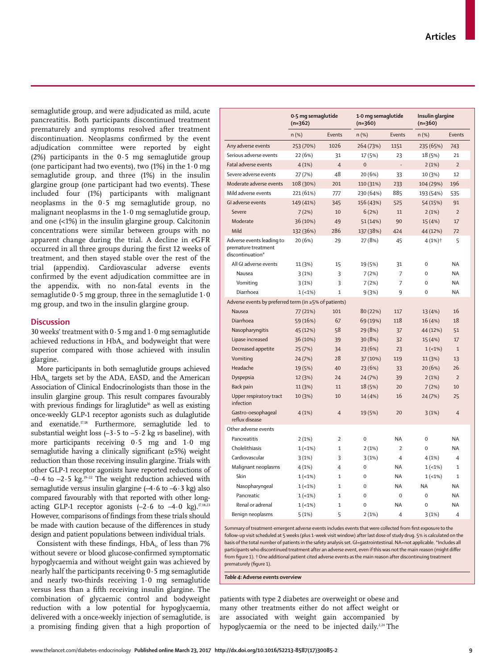semaglutide group, and were adjudicated as mild, acute pancreatitis. Both participants discontinued treatment prematurely and symptoms resolved after treatment discontinuation. Neoplasms confirmed by the event adjudication committee were reported by eight (2%) participants in the 0·5 mg semaglutide group (one participant had two events), two (1%) in the 1·0 mg semaglutide group, and three (1%) in the insulin glargine group (one participant had two events). These included four (1%) participants with malignant neoplasms in the 0·5 mg semaglutide group, no malignant neoplasms in the  $1.0$  mg semaglutide group, and one  $\left($  <1%) in the insulin glargine group. Calcitonin concentrations were similar between groups with no apparent change during the trial. A decline in eGFR occurred in all three groups during the first 12 weeks of treatment, and then stayed stable over the rest of the trial (appendix). Cardiovascular adverse events confirmed by the event adjudication committee are in the appendix, with no non-fatal events in the semaglutide 0·5 mg group, three in the semaglutide 1·0 mg group, and two in the insulin glargine group.

## **Discussion**

30 weeks' treatment with  $0.5$  mg and  $1.0$  mg semaglutide achieved reductions in HbA<sub>1c</sub> and bodyweight that were superior compared with those achieved with insulin glargine.

More participants in both semaglutide groups achieved  $HbA<sub>1c</sub>$  targets set by the ADA, EASD, and the American Association of Clinical Endocrinologists than those in the insulin glargine group. This result compares favourably with previous findings for liraglutide<sup>16</sup> as well as existing once-weekly GLP-1 receptor agonists such as dulaglutide and exenatide.<sup>17,18</sup> Furthermore, semaglutide led to substantial weight loss (–3·5 to –5·2 kg *vs* baseline), with more participants receiving 0·5 mg and 1·0 mg semaglutide having a clinically significant (≥5%) weight reduction than those receiving insulin glargine. Trials with other GLP-1 receptor agonists have reported reductions of  $-0.4$  to  $-2.5$  kg.<sup>19-22</sup> The weight reduction achieved with semaglutide versus insulin glargine  $(-4.6 \text{ to } -6.3 \text{ kg})$  also compared favourably with that reported with other longacting GLP-1 receptor agonists  $(-2.6 \text{ to } -4.0 \text{ kg}).^{17,18,23}$ However, comparisons of findings from these trials should be made with caution because of the differences in study design and patient populations between individual trials.

Consistent with these findings,  $HbA<sub>1c</sub>$  of less than 7% without severe or blood glucose-confirmed symptomatic hypoglycaemia and without weight gain was achieved by nearly half the participants receiving  $0.5$  mg semaglutide and nearly two-thirds receiving 1·0 mg semaglutide versus less than a fifth receiving insulin glargine. The combination of glycaemic control and bodyweight reduction with a low potential for hypoglycaemia, delivered with a once-weekly injection of semaglutide, is a promising finding given that a high proportion of

|                                                                      | 0.5 mg semaglutide<br>$(n=362)$ |                | $(n=360)$    | 1.0 mg semaglutide |             | Insulin glargine<br>$(n=360)$ |  |
|----------------------------------------------------------------------|---------------------------------|----------------|--------------|--------------------|-------------|-------------------------------|--|
|                                                                      | $n$ (%)                         | Events         | $n$ (%)      | Events             | $n$ (%)     | Events                        |  |
| Any adverse events                                                   | 253 (70%)                       | 1026           | 264 (73%)    | 1151               | 235 (65%)   | 743                           |  |
| Serious adverse events                                               | 22 (6%)                         | 31             | 17 (5%)      | 23                 | 18 (5%)     | 21                            |  |
| Fatal adverse events                                                 | 4(1%)                           | 4              | $\mathbf{0}$ | Ĭ.                 | 2(1%)       | $\overline{2}$                |  |
| Severe adverse events                                                | 27 (7%)                         | 48             | 20 (6%)      | 33                 | 10 (3%)     | 12                            |  |
| Moderate adverse events                                              | 108 (30%)                       | 201            | 110 (31%)    | 233                | 104 (29%)   | 196                           |  |
| Mild adverse events                                                  | 221 (61%)                       | 777            | 230 (64%)    | 885                | 193 (54%)   | 535                           |  |
| GI adverse events                                                    | 149 (41%)                       | 345            | 156 (43%)    | 525                | 54 (15%)    | 91                            |  |
| Severe                                                               | 7(2%)                           | 10             | 6(2%)        | 11                 | 2(1%)       | $\overline{2}$                |  |
| Moderate                                                             | 36 (10%)                        | 49             | 51 (14%)     | 90                 | 15 (4%)     | 17                            |  |
| Mild                                                                 | 132 (36%)                       | 286            | 137 (38%)    | 424                | 44 (12%)    | 72                            |  |
| Adverse events leading to<br>premature treatment<br>discontinuation* | 20(6%)                          | 29             | 27 (8%)      | 45                 | 4 (1%)†     | 5                             |  |
| All GI adverse events                                                | 11 (3%)                         | 15             | 19 (5%)      | 31                 | $\Omega$    | <b>NA</b>                     |  |
| Nausea                                                               | 3(1%)                           | 3              | 7(2%)        | 7                  | 0           | NA                            |  |
| Vomiting                                                             | 3(1%)                           | 3              | 7(2%)        | 7                  | 0           | <b>NA</b>                     |  |
| Diarrhoea                                                            | $1(-1%)$                        | $\mathbf{1}$   | 9(3%)        | 9                  | $\Omega$    | <b>NA</b>                     |  |
| Adverse events by preferred term (in ≥5% of patients)                |                                 |                |              |                    |             |                               |  |
| Nausea                                                               | 77 (21%)                        | 101            | 80 (22%)     | 117                | 13 (4%)     | 16                            |  |
| Diarrhoea                                                            | 59 (16%)                        | 67             | 69 (19%)     | 118                | 16 (4%)     | 18                            |  |
| Nasopharyngitis                                                      | 45 (12%)                        | 58             | 29 (8%)      | 37                 | 44 (12%)    | 51                            |  |
| Lipase increased                                                     | 36 (10%)                        | 39             | 30 (8%)      | 32                 | 15 (4%)     | 17                            |  |
| Decreased appetite                                                   | 25 (7%)                         | 34             | 23 (6%)      | 23                 | $1(-1%)$    | $\mathbf{1}$                  |  |
| Vomiting                                                             | 24 (7%)                         | 28             | 37 (10%)     | 119                | 11 (3%)     | 13                            |  |
| Headache                                                             | 19 (5%)                         | 40             | 23 (6%)      | 33                 | 20 (6%)     | 26                            |  |
| Dyspepsia                                                            | 12 (3%)                         | 24             | 24 (7%)      | 39                 | 2(1%)       | $\overline{2}$                |  |
| Back pain                                                            | 11 (3%)                         | 11             | 18 (5%)      | 20                 | 7(2%)       | 10                            |  |
| Upper respiratory tract<br>infection                                 | 10 (3%)                         | 10             | 14 (4%)      | 16                 | 24 (7%)     | 25                            |  |
| Gastro-oesophaqeal<br>reflux disease                                 | 4(1%)                           | $\overline{4}$ | 19 (5%)      | 20                 | 3(1%)       | $\overline{4}$                |  |
| Other adverse events                                                 |                                 |                |              |                    |             |                               |  |
| Pancreatitis                                                         | 2(1%)                           | $\overline{2}$ | 0            | <b>NA</b>          | $\Omega$    | ΝA                            |  |
| Cholelithiasis                                                       | $1(-1%)$                        | $\mathbf{1}$   | 2(1%)        | $\overline{2}$     | 0           | NA                            |  |
| Cardiovascular                                                       | 3(1%)                           | 3              | 3(1%)        | $\overline{4}$     | 4 (1%)      | 4                             |  |
| Malignant neoplasms                                                  | 4(1%)                           | 4              | 0            | NA                 | $1(-1%)$    | 1                             |  |
| Skin                                                                 | $1(-1%)$                        | $\mathbf{1}$   | $\mathbf 0$  | <b>NA</b>          | $1( < 1\%)$ | $\mathbf 1$                   |  |
| Nasopharyngeal                                                       | $1(-1%)$                        | $\mathbf{1}$   | $\mathbf 0$  | <b>NA</b>          | <b>NA</b>   | <b>NA</b>                     |  |
| Pancreatic                                                           | $1(-1%)$                        | $\mathbf{1}$   | 0            | $\Omega$           | $\Omega$    | <b>NA</b>                     |  |
| Renal or adrenal                                                     | $1($ < 1% $)$                   | $\mathbf{1}$   | $\Omega$     | <b>NA</b>          | $\Omega$    | <b>NA</b>                     |  |
| Benign neoplasms                                                     | 5(1%)                           | 5              | 2(1%)        | 4                  | 3(1%)       | 4                             |  |

Summary of treatment-emergent adverse events includes events that were collected from first exposure to the follow-up visit scheduled at 5 weeks (plus 1-week visit window) after last dose of study drug. 5% is calculated on the basis of the total number of patients in the safety analysis set. GI=gastrointestinal. NA=not applicable. \*Includes all participants who discontinued treatment after an adverse event, even if this was not the main reason (might differ from figure 1). † One additional patient cited adverse events as the main reason after discontinuing treatment prematurely (figure 1).

*Table 4***: Adverse events overview**

patients with type 2 diabetes are overweight or obese and many other treatments either do not affect weight or are associated with weight gain accompanied by hypoglycaemia or the need to be injected daily.<sup>2,24</sup> The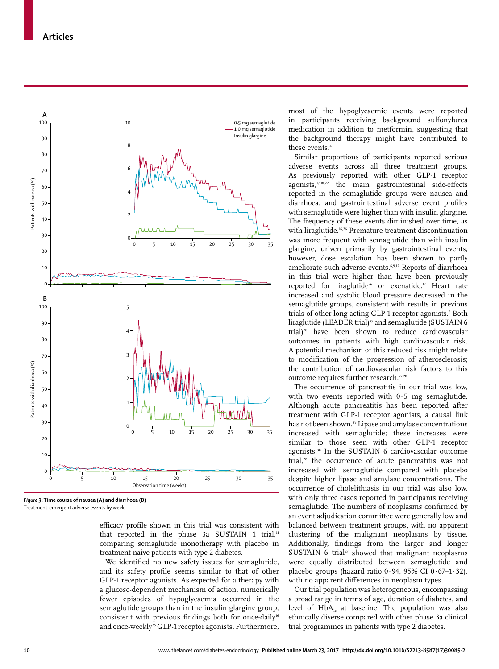

*Figure 3***: Time course of nausea (A) and diarrhoea (B)** Treatment-emergent adverse events by week.

efficacy profile shown in this trial was consistent with that reported in the phase 3a SUSTAIN 1 trial, $<sup>11</sup>$ </sup> comparing semaglutide monotherapy with placebo in treatment-naive patients with type 2 diabetes.

We identified no new safety issues for semaglutide, and its safety profile seems similar to that of other GLP-1 receptor agonists. As expected for a therapy with a glucose-dependent mechanism of action, numerically fewer episodes of hypoglycaemia occurred in the semaglutide groups than in the insulin glargine group, consistent with previous findings both for once-daily<sup>16</sup> and once-weekly<sup>25</sup> GLP-1 receptor agonists. Furthermore, most of the hypoglycaemic events were reported in participants receiving background sulfonylurea medication in addition to metformin, suggesting that the background therapy might have contributed to these events.4

Similar proportions of participants reported serious adverse events across all three treatment groups. As previously reported with other GLP-1 receptor agonists,<sup>17,18,22</sup> the main gastrointestinal side-effects reported in the semaglutide groups were nausea and diarrhoea, and gastrointestinal adverse event profiles with semaglutide were higher than with insulin glargine. The frequency of these events diminished over time, as with liraglutide.<sup>16,26</sup> Premature treatment discontinuation was more frequent with semaglutide than with insulin glargine, driven primarily by gastrointestinal events; however, dose escalation has been shown to partly ameliorate such adverse events.6,9,12 Reports of diarrhoea in this trial were higher than have been previously reported for liraglutide<sup>26</sup> or exenatide.<sup>17</sup> Heart rate increased and systolic blood pressure decreased in the semaglutide groups, consistent with results in previous trials of other long-acting GLP-1 receptor agonists.<sup>6</sup> Both liraglutide (LEADER trial) $^{27}$  and semaglutide (SUSTAIN 6 trial)<sup>28</sup> have been shown to reduce cardiovascular outcomes in patients with high cardiovascular risk. A potential mechanism of this reduced risk might relate to modification of the progression of atherosclerosis; the contribution of cardiovascular risk factors to this outcome requires further research.<sup>27,28</sup>

The occurrence of pancreatitis in our trial was low, with two events reported with 0·5 mg semaglutide. Although acute pancreatitis has been reported after treatment with GLP-1 receptor agonists, a causal link has not been shown.<sup>29</sup> Lipase and amylase concentrations increased with semaglutide; these increases were similar to those seen with other GLP-1 receptor agonists.30 In the SUSTAIN 6 cardiovascular outcome trial,<sup>28</sup> the occurrence of acute pancreatitis was not increased with semaglutide compared with placebo despite higher lipase and amylase concentrations. The occurrence of cholelithiasis in our trial was also low, with only three cases reported in participants receiving semaglutide. The numbers of neoplasms confirmed by an event adjudication committee were generally low and balanced between treatment groups, with no apparent clustering of the malignant neoplasms by tissue. Additionally, findings from the larger and longer SUSTAIN 6 trial<sup>27</sup> showed that malignant neoplasms were equally distributed between semaglutide and placebo groups (hazard ratio  $0.94$ ,  $95\%$  CI  $0.67-1.32$ ), with no apparent differences in neoplasm types.

Our trial population was heterogeneous, encompassing a broad range in terms of age, duration of diabetes, and level of  $HbA<sub>1c</sub>$  at baseline. The population was also ethnically diverse compared with other phase 3a clinical trial programmes in patients with type 2 diabetes.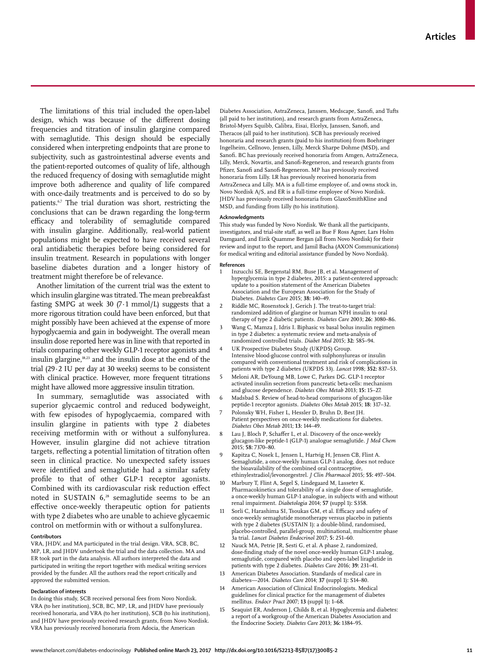The limitations of this trial included the open-label design, which was because of the different dosing frequencies and titration of insulin glargine compared with semaglutide. This design should be especially considered when interpreting endpoints that are prone to subjectivity, such as gastrointestinal adverse events and the patient-reported outcomes of quality of life, although the reduced frequency of dosing with semaglutide might improve both adherence and quality of life compared with once-daily treatments and is perceived to do so by patients.<sup>6,7</sup> The trial duration was short, restricting the conclusions that can be drawn regarding the long-term efficacy and tolerability of semaglutide compared with insulin glargine. Additionally, real-world patient populations might be expected to have received several oral antidiabetic therapies before being considered for insulin treatment. Research in populations with longer baseline diabetes duration and a longer history of treatment might therefore be of relevance.

Another limitation of the current trial was the extent to which insulin glargine was titrated. The mean prebreakfast fasting SMPG at week 30 (7 $\cdot$ 1 mmol/L) suggests that a more rigorous titration could have been enforced, but that might possibly have been achieved at the expense of more hypoglycaemia and gain in bodyweight. The overall mean insulin dose reported here was in line with that reported in trials comparing other weekly GLP-1 receptor agonists and insulin glargine,18,23 and the insulin dose at the end of the trial (29·2 IU per day at 30 weeks) seems to be consistent with clinical practice. However, more frequent titrations might have allowed more aggressive insulin titration.

In summary, semaglutide was associated with superior glycaemic control and reduced bodyweight, with few episodes of hypoglycaemia, compared with insulin glargine in patients with type 2 diabetes receiving metformin with or without a sulfonylurea. However, insulin glargine did not achieve titration targets, reflecting a potential limitation of titration often seen in clinical practice. No unexpected safety issues were identified and semaglutide had a similar safety profile to that of other GLP-1 receptor agonists. Combined with its cardiovascular risk reduction effect noted in SUSTAIN 6,<sup>28</sup> semaglutide seems to be an effective once-weekly therapeutic option for patients with type 2 diabetes who are unable to achieve glycaemic control on metformin with or without a sulfonylurea.

#### **Contributors**

VRA, JHDV, and MA participated in the trial design. VRA, SCB, BC, MP, LR, and JHDV undertook the trial and the data collection. MA and ER took part in the data analysis. All authors interpreted the data and participated in writing the report together with medical writing services provided by the funder. All the authors read the report critically and approved the submitted version.

#### **Declaration of interests**

In doing this study, SCB received personal fees from Novo Nordisk. VRA (to her institution), SCB, BC, MP, LR, and JHDV have previously received honoraria, and VRA (to her institution), SCB (to his institution), and JHDV have previously received research grants, from Novo Nordisk. VRA has previously received honoraria from Adocia, the American

Diabetes Association, AstraZeneca, Janssen, Medscape, Sanofi, and Tufts (all paid to her institution), and research grants from AstraZeneca, Bristol-Myers Squibb, Calibra, Eisai, Elcelyx, Janssen, Sanofi, and Theracos (all paid to her institution). SCB has previously received honoraria and research grants (paid to his institution) from Boehringer Ingelheim, Cellnovo, Jensen, Lilly, Merck Sharpe Dohme (MSD), and Sanofi. BC has previously received honoraria from Amgen, AstraZeneca, Lilly, Merck, Novartis, and Sanofi-Regeneron, and research grants from Pfizer, Sanofi and Sanofi-Regeneron. MP has previously received honoraria from Lilly. LR has previously received honoraria from AstraZeneca and Lilly. MA is a full-time employee of, and owns stock in, Novo Nordisk A/S, and ER is a full-time employee of Novo Nordisk. JHDV has previously received honoraria from GlaxoSmithKline and MSD, and funding from Lilly (to his institution).

#### **Acknowledgments**

This study was funded by Novo Nordisk. We thank all the participants, investigators, and trial-site staff, as well as Bue F Ross Agner, Lars Holm Damgaard, and Eirik Quamme Bergan (all from Novo Nordisk) for their review and input to the report, and Jamil Bacha (AXON Communications) for medical writing and editorial assistance (funded by Novo Nordisk).

#### **References**

- 1 Inzucchi SE, Bergenstal RM, Buse JB, et al. Management of hyperglycemia in type 2 diabetes, 2015: a patient-centered approach: update to a position statement of the American Diabetes Association and the European Association for the Study of Diabetes. *Diabetes Care* 2015; **38:** 140–49.
- 2 Riddle MC, Rosenstock J, Gerich J. The treat-to-target trial: randomized addition of glargine or human NPH insulin to oral therapy of type 2 diabetic patients. *Diabetes Care* 2003; **26:** 3080–86.
- 3 Wang C, Mamza J, Idris I. Biphasic vs basal bolus insulin regimen in type 2 diabetes: a systematic review and meta-analysis of randomized controlled trials. *Diabet Med* 2015; **32:** 585–94.
- UK Prospective Diabetes Study (UKPDS) Group. Intensive blood-glucose control with sulphonylureas or insulin compared with conventional treatment and risk of complications in patients with type 2 diabetes (UKPDS 33). *Lancet* 1998; **352:** 837–53.
- 5 Meloni AR, DeYoung MB, Lowe C, Parkes DG. GLP-1 receptor activated insulin secretion from pancreatic beta-cells: mechanism and glucose dependence. *Diabetes Obes Metab* 2013; **15:** 15–27.
- 6 Madsbad S. Review of head-to-head comparisons of glucagon-like peptide-1 receptor agonists. *Diabetes Obes Metab* 2015; **18:** 317–32.
- 7 Polonsky WH, Fisher L, Hessler D, Bruhn D, Best JH. Patient perspectives on once-weekly medications for diabetes. *Diabetes Obes Metab* 2011; **13:** 144–49.
- 8 Lau J, Bloch P, Schaffer L, et al. Discovery of the once-weekly glucagon-like peptide-1 (GLP-1) analogue semaglutide. *J Med Chem* 2015; **58:** 7370–80.
- 9 Kapitza C, Nosek L, Jensen L, Hartvig H, Jensen CB, Flint A. Semaglutide, a once-weekly human GLP-1 analog, does not reduce the bioavailability of the combined oral contraceptive, ethinylestradiol/levonorgestrel. *J Clin Pharmacol* 2015; **55:** 497–504.
- 10 Marbury T, Flint A, Segel S, Lindegaard M, Lasseter K. Pharmacokinetics and tolerability of a single dose of semaglutide, a once-weekly human GLP-1 analogue, in subjects with and without renal impairment. *Diabetologia* 2014; **57** (suppl 1)**:** S358.
- Sorli C, Harashima SI, Tsoukas GM, et al. Efficacy and safety of once-weekly semaglutide monotherapy versus placebo in patients with type 2 diabetes (SUSTAIN 1): a double-blind, randomised, placebo-controlled, parallel-group, multinational, multicentre phase 3a trial. *Lancet Diabetes Endocrinol* 2017; **5:** 251–60.
- 12 Nauck MA, Petrie JR, Sesti G, et al. A phase 2, randomized, dose-finding study of the novel once-weekly human GLP-1 analog, semaglutide, compared with placebo and open-label liraglutide in patients with type 2 diabetes. *Diabetes Care* 2016; **39:** 231–41.
- 13 American Diabetes Association. Standards of medical care in diabetes—2014. *Diabetes Care* 2014; **37** (suppl 1)**:** S14–80.
- 14 American Association of Clinical Endocrinologists. Medical guidelines for clinical practice for the management of diabetes mellitus. *Endocr Pract* 2007; **13** (suppl 1)**:** 1–68.
- 15 Seaquist ER, Anderson J, Childs B, et al. Hypoglycemia and diabetes: a report of a workgroup of the American Diabetes Association and the Endocrine Society. *Diabetes Care* 2013; **36:** 1384–95.